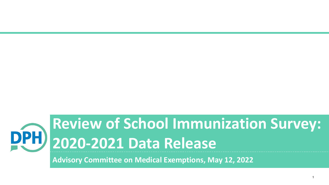## **Review of School Immunization Survey: 2020-2021 Data Release**

**Advisory Committee on Medical Exemptions, May 12, 2022**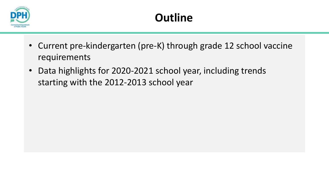

- Current pre-kindergarten (pre-K) through grade 12 school vaccine requirements
- Data highlights for 2020-2021 school year, including trends starting with the 2012-2013 school year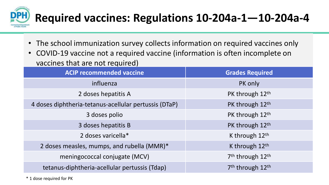

- The school immunization survey collects information on required vaccines only
- COVID-19 vaccine not a required vaccine (information is often incomplete on vaccines that are not required)

| <b>ACIP recommended vaccine</b>                       | <b>Grades Required</b>                   |
|-------------------------------------------------------|------------------------------------------|
| influenza                                             | PK only                                  |
| 2 doses hepatitis A                                   | PK through 12th                          |
| 4 doses diphtheria-tetanus-acellular pertussis (DTaP) | PK through 12th                          |
| 3 doses polio                                         | PK through 12th                          |
| 3 doses hepatitis B                                   | PK through 12th                          |
| 2 doses varicella*                                    | K through $12th$                         |
| 2 doses measles, mumps, and rubella (MMR)*            | K through 12th                           |
| meningococcal conjugate (MCV)                         | 7 <sup>th</sup> through 12 <sup>th</sup> |
| tetanus-diphtheria-acellular pertussis (Tdap)         | 7 <sup>th</sup> through 12 <sup>th</sup> |

\* 1 dose required for PK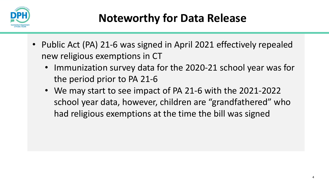

- Public Act (PA) 21-6 was signed in April 2021 effectively repealed new religious exemptions in CT
	- Immunization survey data for the 2020-21 school year was for the period prior to PA 21-6
	- We may start to see impact of PA 21-6 with the 2021-2022 school year data, however, children are "grandfathered" who had religious exemptions at the time the bill was signed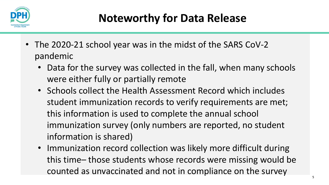

- The 2020-21 school year was in the midst of the SARS CoV-2 pandemic
	- Data for the survey was collected in the fall, when many schools were either fully or partially remote
	- Schools collect the Health Assessment Record which includes student immunization records to verify requirements are met; this information is used to complete the annual school immunization survey (only numbers are reported, no student information is shared)
	- Immunization record collection was likely more difficult during this time– those students whose records were missing would be counted as unvaccinated and not in compliance on the survey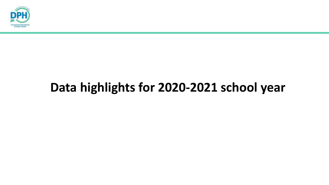

## **Data highlights for 2020-2021 school year**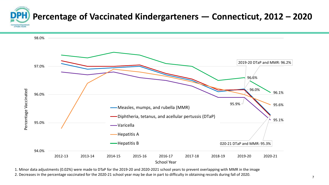



1. Minor data adjustments (0.02%) were made to DTaP for the 2019-20 and 2020-2021 school years to prevent overlapping with MMR in the image

2. Decreases in the percentage vaccinated for the 2020-21 school year may be due in part to difficulty in obtaining records during fall of 2020.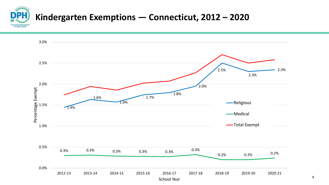

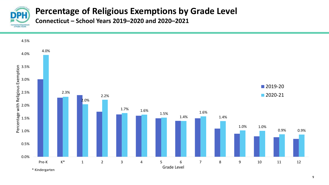

## **Percentage of Religious Exemptions by Grade Level**

**Connecticut – School Years 2019–2020 and 2020–2021**

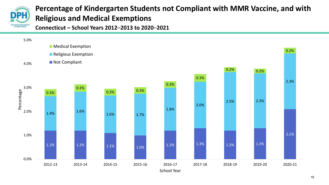

## **Percentage of Kindergarten Students not Compliant with MMR Vaccine, and with Religious and Medical Exemptions**

**Connecticut – School Years 2012**–**2013 to 2020**–**2021**